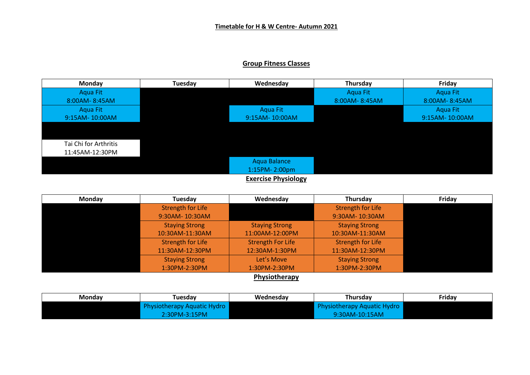## **Group Fitness Classes**



| Monday        | Tuesday                  | Wednesday                | Thursday                 | Friday |  |
|---------------|--------------------------|--------------------------|--------------------------|--------|--|
|               | <b>Strength for Life</b> |                          | <b>Strength for Life</b> |        |  |
|               | 9:30AM-10:30AM           |                          | 9:30AM-10:30AM           |        |  |
|               | <b>Staying Strong</b>    | <b>Staying Strong</b>    | <b>Staying Strong</b>    |        |  |
|               | 10:30AM-11:30AM          | 11:00AM-12:00PM          | 10:30AM-11:30AM          |        |  |
|               | Strength for Life        | <b>Strength For Life</b> | <b>Strength for Life</b> |        |  |
|               | 11:30AM-12:30PM          | 12:30AM-1:30PM           | 11:30AM-12:30PM          |        |  |
|               | <b>Staying Strong</b>    | Let's Move               | <b>Staying Strong</b>    |        |  |
|               | 1:30PM-2:30PM            | 1:30PM-2:30PM            | 1:30PM-2:30PM            |        |  |
| Dhuciatharanu |                          |                          |                          |        |  |

**Physiotherapy**

| Mondav | Tuesdav                     | Wednesdav | Thursdav                    | Fridav |
|--------|-----------------------------|-----------|-----------------------------|--------|
|        | Physiotherapy Aquatic Hydro |           | Physiotherapy Aquatic Hydro |        |
|        | 2:30PM-3:15PM               |           | $9:30AM-10:15AM$            |        |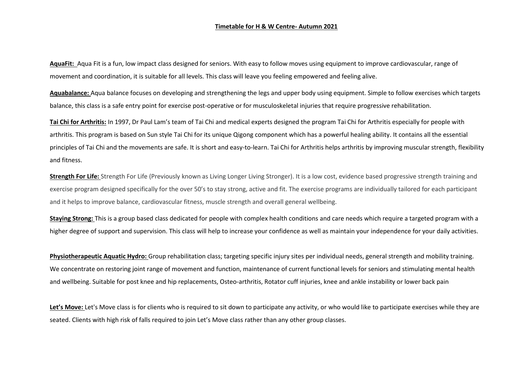## **Timetable for H & W Centre- Autumn 2021**

**AquaFit:** Aqua Fit is a fun, low impact class designed for seniors. With easy to follow moves using equipment to improve cardiovascular, range of movement and coordination, it is suitable for all levels. This class will leave you feeling empowered and feeling alive.

**Aquabalance:** Aqua balance focuses on developing and strengthening the legs and upper body using equipment. Simple to follow exercises which targets balance, this class is a safe entry point for exercise post-operative or for musculoskeletal injuries that require progressive rehabilitation.

**Tai Chi for Arthritis:** In 1997, Dr Paul Lam's team of Tai Chi and medical experts designed the program Tai Chi for Arthritis especially for people with arthritis. This program is based on Sun style Tai Chi for its unique Qigong component which has a powerful healing ability. It contains all the essential principles of Tai Chi and the movements are safe. It is short and easy-to-learn. Tai Chi for Arthritis helps arthritis by improving muscular strength, flexibility and fitness.

**Strength For Life:** Strength For Life (Previously known as Living Longer Living Stronger). It is a low cost, evidence based progressive strength training and exercise program designed specifically for the over 50's to stay strong, active and fit. The exercise programs are individually tailored for each participant and it helps to improve balance, cardiovascular fitness, muscle strength and overall general wellbeing.

**Staying Strong:** This is a group based class dedicated for people with complex health conditions and care needs which require a targeted program with a higher degree of support and supervision. This class will help to increase your confidence as well as maintain your independence for your daily activities.

**Physiotherapeutic Aquatic Hydro:** Group rehabilitation class; targeting specific injury sites per individual needs, general strength and mobility training. We concentrate on restoring joint range of movement and function, maintenance of current functional levels for seniors and stimulating mental health and wellbeing. Suitable for post knee and hip replacements, Osteo-arthritis, Rotator cuff injuries, knee and ankle instability or lower back pain

Let's Move: Let's Move class is for clients who is required to sit down to participate any activity, or who would like to participate exercises while they are seated. Clients with high risk of falls required to join Let's Move class rather than any other group classes.